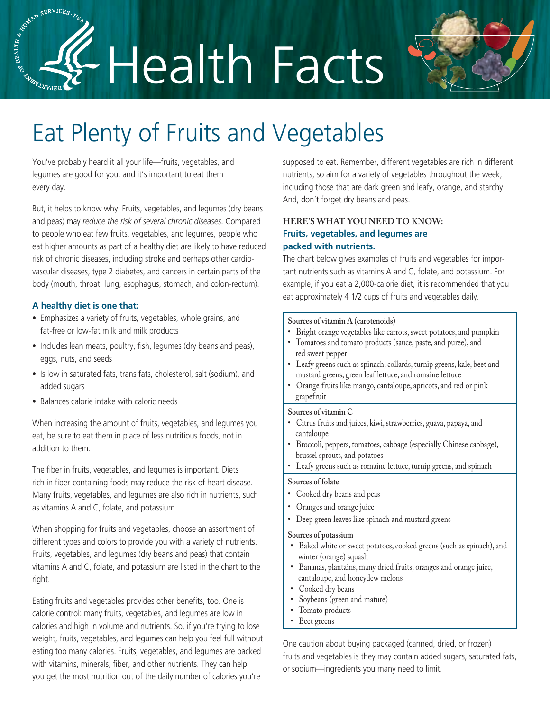# ASSERVICES. LAND SERVICES. Health Facts



# Eat Plenty of Fruits and Vegetables

You've probably heard it all your life—fruits, vegetables, and legumes are good for you, and it's important to eat them every day.

But, it helps to know why. Fruits, vegetables, and legumes (dry beans and peas) may *reduce the risk of several chronic diseases*. Compared to people who eat few fruits, vegetables, and legumes, people who eat higher amounts as part of a healthy diet are likely to have reduced risk of chronic diseases, including stroke and perhaps other cardiovascular diseases, type 2 diabetes, and cancers in certain parts of the body (mouth, throat, lung, esophagus, stomach, and colon-rectum).

## **A healthy diet is one that:**

- Emphasizes a variety of fruits, vegetables, whole grains, and fat-free or low-fat milk and milk products
- Includes lean meats, poultry, fish, legumes (dry beans and peas), eggs, nuts, and seeds
- Is low in saturated fats, trans fats, cholesterol, salt (sodium), and added sugars
- Balances calorie intake with caloric needs

When increasing the amount of fruits, vegetables, and legumes you eat, be sure to eat them in place of less nutritious foods, not in addition to them.

The fiber in fruits, vegetables, and legumes is important. Diets rich in fiber-containing foods may reduce the risk of heart disease. Many fruits, vegetables, and legumes are also rich in nutrients, such as vitamins A and C, folate, and potassium.

When shopping for fruits and vegetables, choose an assortment of different types and colors to provide you with a variety of nutrients. Fruits, vegetables, and legumes (dry beans and peas) that contain vitamins A and C, folate, and potassium are listed in the chart to the right.

Eating fruits and vegetables provides other benefits, too. One is calorie control: many fruits, vegetables, and legumes are low in calories and high in volume and nutrients. So, if you're trying to lose weight, fruits, vegetables, and legumes can help you feel full without eating too many calories. Fruits, vegetables, and legumes are packed with vitamins, minerals, fiber, and other nutrients. They can help you get the most nutrition out of the daily number of calories you're

supposed to eat. Remember, different vegetables are rich in different nutrients, so aim for a variety of vegetables throughout the week, including those that are dark green and leafy, orange, and starchy. And, don't forget dry beans and peas.

# **HERE'S WHAT YOU NEED TO KNOW: Fruits, vegetables, and legumes are packed with nutrients.**

The chart below gives examples of fruits and vegetables for important nutrients such as vitamins A and C, folate, and potassium. For example, if you eat a 2,000-calorie diet, it is recommended that you eat approximately 4 1/2 cups of fruits and vegetables daily.

#### **Sources of vitamin A (carotenoids)**

- Bright orange vegetables like carrots, sweet potatoes, and pumpkin
- Tomatoes and tomato products (sauce, paste, and puree), and red sweet pepper
- Leafy greens such as spinach, collards, turnip greens, kale, beet and mustard greens, green leaf lettuce, and romaine lettuce
- Orange fruits like mango, cantaloupe, apricots, and red or pink grapefruit

#### **Sources of vitamin C**

- Citrus fruits and juices, kiwi, strawberries, guava, papaya, and cantaloupe
- Broccoli, peppers, tomatoes, cabbage (especially Chinese cabbage), brussel sprouts, and potatoes
- Leafy greens such as romaine lettuce, turnip greens, and spinach

#### **Sources of folate**

- Cooked dry beans and peas
- Oranges and orange juice
- Deep green leaves like spinach and mustard greens

#### **Sources of potassium**

- Baked white or sweet potatoes, cooked greens (such as spinach), and winter (orange) squash
- Bananas, plantains, many dried fruits, oranges and orange juice, cantaloupe, and honeydew melons
- Cooked dry beans
- Soybeans (green and mature)
- Tomato products
- Beet greens

One caution about buying packaged (canned, dried, or frozen) fruits and vegetables is they may contain added sugars, saturated fats, or sodium—ingredients you many need to limit.